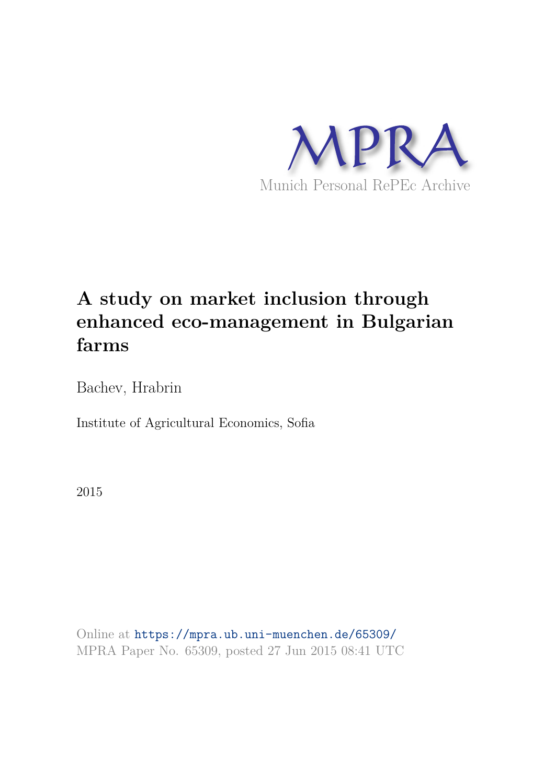

# **A study on market inclusion through enhanced eco-management in Bulgarian farms**

Bachev, Hrabrin

Institute of Agricultural Economics, Sofia

2015

Online at https://mpra.ub.uni-muenchen.de/65309/ MPRA Paper No. 65309, posted 27 Jun 2015 08:41 UTC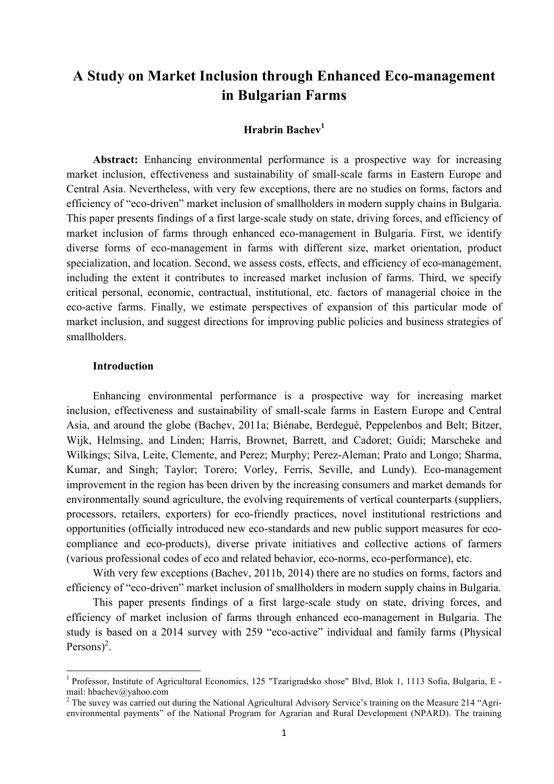# **A Study on Market Inclusion through Enhanced Eco-management in Bulgarian Farms**

# **Hrabrin Bachev<sup>1</sup>**

**Abstract:** Enhancing environmental performance is a prospective way for increasing market inclusion, effectiveness and sustainability of small-scale farms in Eastern Europe and Central Asia. Nevertheless, with very few exceptions, there are no studies on forms, factors and efficiency of "eco-driven" market inclusion of smallholders in modern supply chains in Bulgaria. This paper presents findings of a first large-scale study on state, driving forces, and efficiency of market inclusion of farms through enhanced eco-management in Bulgaria. First, we identify diverse forms of eco-management in farms with different size, market orientation, product specialization, and location. Second, we assess costs, effects, and efficiency of eco-management, including the extent it contributes to increased market inclusion of farms. Third, we specify critical personal, economic, contractual, institutional, etc. factors of managerial choice in the eco-active farms. Finally, we estimate perspectives of expansion of this particular mode of market inclusion, and suggest directions for improving public policies and business strategies of smallholders.

## **Introduction**

<u> 1989 - Jan Samuel Barbara, político establecido de la provincia de la provincia de la provincia de la provinci</u>

Enhancing environmental performance is a prospective way for increasing market inclusion, effectiveness and sustainability of small-scale farms in Eastern Europe and Central Asia, and around the globe (Bachev, 2011a; Biénabe, Berdegué, Peppelenbos and Belt; Bitzer, Wijk, Helmsing, and Linden; Harris, Brownet, Barrett, and Cadoret; Guidi; Marscheke and Wilkings; Silva, Leite, Clemente, and Perez; Murphy; Perez-Aleman; Prato and Longo; Sharma, Kumar, and Singh; Taylor; Torero; Vorley, Ferris, Seville, and Lundy). Eco-management improvement in the region has been driven by the increasing consumers and market demands for environmentally sound agriculture, the evolving requirements of vertical counterparts (suppliers, processors, retailers, exporters) for eco-friendly practices, novel institutional restrictions and opportunities (officially introduced new eco-standards and new public support measures for ecocompliance and eco-products), diverse private initiatives and collective actions of farmers (various professional codes of eco and related behavior, eco-norms, eco-performance), etc.

With very few exceptions (Bachev, 2011b, 2014) there are no studies on forms, factors and efficiency of "eco-driven" market inclusion of smallholders in modern supply chains in Bulgaria.

This paper presents findings of a first large-scale study on state, driving forces, and efficiency of market inclusion of farms through enhanced eco-management in Bulgaria. The study is based on a 2014 survey with 259 "eco-active" individual and family farms (Physical Persons $)^2$ .

<sup>&</sup>lt;sup>1</sup> Professor, Institute of Agricultural Economics, 125 "Tzarigradsko shose" Blvd, Blok 1, 1113 Sofia, Bulgaria, E mail: hbachev@yahoo.com

 $2$  The suvey was carried out during the National Agricultural Advisory Service's training on the Measure 214 "Agrienvironmental payments" of the National Program for Agrarian and Rural Development (NPARD). The training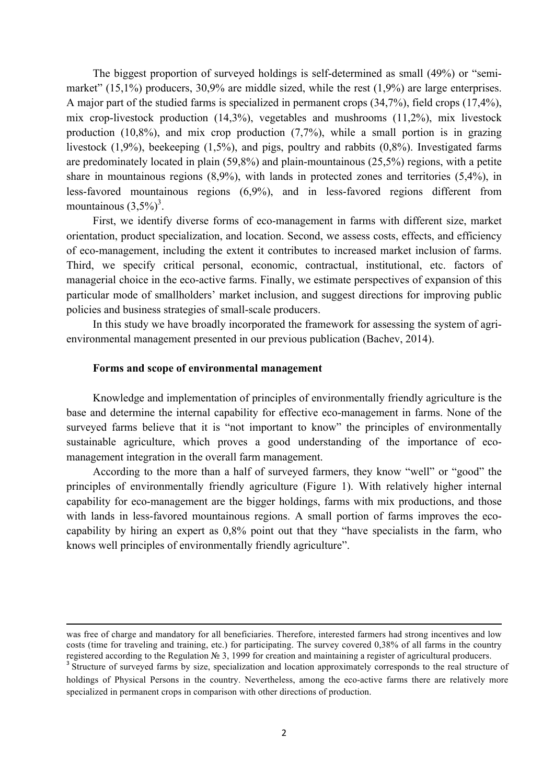The biggest proportion of surveyed holdings is self-determined as small (49%) or "semimarket" (15,1%) producers, 30,9% are middle sized, while the rest (1,9%) are large enterprises. A major part of the studied farms is specialized in permanent crops (34,7%), field crops (17,4%), mix crop-livestock production (14,3%), vegetables and mushrooms (11,2%), mix livestock production  $(10,8\%)$ , and mix crop production  $(7,7\%)$ , while a small portion is in grazing livestock (1,9%), beekeeping (1,5%), and pigs, poultry and rabbits (0,8%). Investigated farms are predominately located in plain (59,8%) and plain-mountainous (25,5%) regions, with a petite share in mountainous regions (8,9%), with lands in protected zones and territories (5,4%), in less-favored mountainous regions (6,9%), and in less-favored regions different from mountainous  $(3,5\%)^3$ .

First, we identify diverse forms of eco-management in farms with different size, market orientation, product specialization, and location. Second, we assess costs, effects, and efficiency of eco-management, including the extent it contributes to increased market inclusion of farms. Third, we specify critical personal, economic, contractual, institutional, etc. factors of managerial choice in the eco-active farms. Finally, we estimate perspectives of expansion of this particular mode of smallholders' market inclusion, and suggest directions for improving public policies and business strategies of small-scale producers.

In this study we have broadly incorporated the framework for assessing the system of agrienvironmental management presented in our previous publication (Bachev, 2014).

## **Forms and scope of environmental management**

Knowledge and implementation of principles of environmentally friendly agriculture is the base and determine the internal capability for effective eco-management in farms. None of the surveyed farms believe that it is "not important to know" the principles of environmentally sustainable agriculture, which proves a good understanding of the importance of ecomanagement integration in the overall farm management.

According to the more than a half of surveyed farmers, they know "well" or "good" the principles of environmentally friendly agriculture (Figure 1). With relatively higher internal capability for eco-management are the bigger holdings, farms with mix productions, and those with lands in less-favored mountainous regions. A small portion of farms improves the ecocapability by hiring an expert as 0,8% point out that they "have specialists in the farm, who knows well principles of environmentally friendly agriculture".

<u> 1989 - Andrea Santa Andrea Andrea Andrea Andrea Andrea Andrea Andrea Andrea Andrea Andrea Andrea Andrea Andr</u>

was free of charge and mandatory for all beneficiaries. Therefore, interested farmers had strong incentives and low costs (time for traveling and training, etc.) for participating. The survey covered 0,38% of all farms in the country registered according to the Regulation № 3, 1999 for creation and maintaining a register of agricultural producers.

<sup>&</sup>lt;sup>3</sup> Structure of surveyed farms by size, specialization and location approximately corresponds to the real structure of holdings of Physical Persons in the country. Nevertheless, among the eco-active farms there are relatively more specialized in permanent crops in comparison with other directions of production.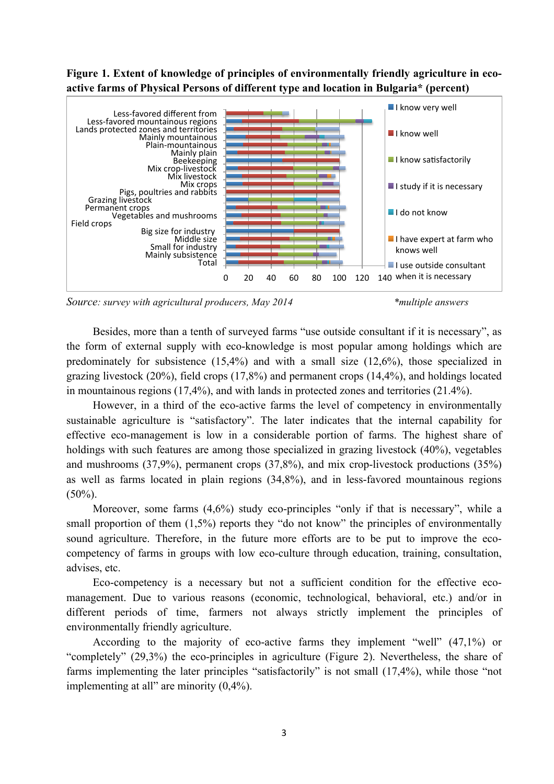# **Figure 1. Extent of knowledge of principles of environmentally friendly agriculture in ecoactive farms of Physical Persons of different type and location in Bulgaria\* (percent)**



*Source: survey with agricultural producers, May 2014 \*multiple answers*

Besides, more than a tenth of surveyed farms "use outside consultant if it is necessary", as the form of external supply with eco-knowledge is most popular among holdings which are predominately for subsistence (15,4%) and with a small size (12,6%), those specialized in grazing livestock (20%), field crops (17,8%) and permanent crops (14,4%), and holdings located in mountainous regions (17,4%), and with lands in protected zones and territories (21.4%).

However, in a third of the eco-active farms the level of competency in environmentally sustainable agriculture is "satisfactory". The later indicates that the internal capability for effective eco-management is low in a considerable portion of farms. The highest share of holdings with such features are among those specialized in grazing livestock (40%), vegetables and mushrooms (37,9%), permanent crops (37,8%), and mix crop-livestock productions (35%) as well as farms located in plain regions (34,8%), and in less-favored mountainous regions  $(50\%)$ .

Moreover, some farms (4,6%) study eco-principles "only if that is necessary", while a small proportion of them  $(1,5\%)$  reports they "do not know" the principles of environmentally sound agriculture. Therefore, in the future more efforts are to be put to improve the ecocompetency of farms in groups with low eco-culture through education, training, consultation, advises, etc.

Eco-competency is a necessary but not a sufficient condition for the effective ecomanagement. Due to various reasons (economic, technological, behavioral, etc.) and/or in different periods of time, farmers not always strictly implement the principles of environmentally friendly agriculture.

According to the majority of eco-active farms they implement "well" (47,1%) or "completely" (29,3%) the eco-principles in agriculture (Figure 2). Nevertheless, the share of farms implementing the later principles "satisfactorily" is not small (17,4%), while those "not implementing at all" are minority (0,4%).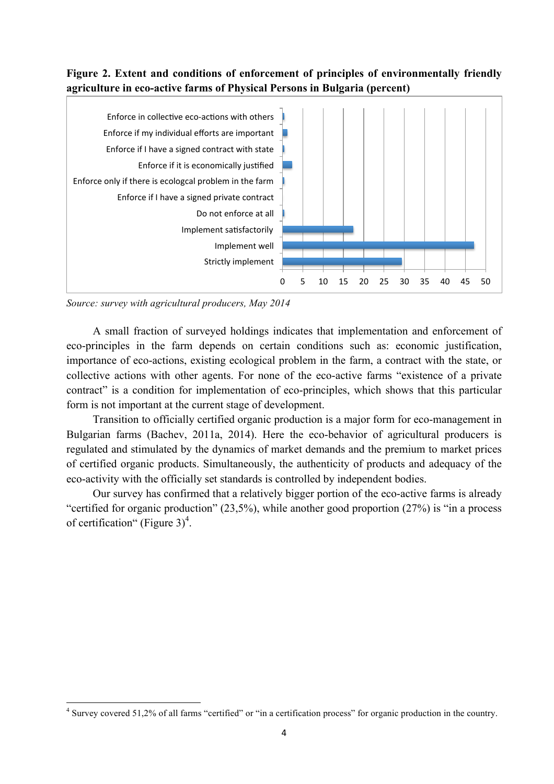# **Figure 2. Extent and conditions of enforcement of principles of environmentally friendly agriculture in eco-active farms of Physical Persons in Bulgaria (percent)**



*Source: survey with agricultural producers, May 2014*

A small fraction of surveyed holdings indicates that implementation and enforcement of eco-principles in the farm depends on certain conditions such as: economic justification, importance of eco-actions, existing ecological problem in the farm, a contract with the state, or collective actions with other agents. For none of the eco-active farms "existence of a private contract" is a condition for implementation of eco-principles, which shows that this particular form is not important at the current stage of development.

Transition to officially certified organic production is a major form for eco-management in Bulgarian farms (Bachev, 2011a, 2014). Here the eco-behavior of agricultural producers is regulated and stimulated by the dynamics of market demands and the premium to market prices of certified organic products. Simultaneously, the authenticity of products and adequacy of the eco-activity with the officially set standards is controlled by independent bodies.

Our survey has confirmed that a relatively bigger portion of the eco-active farms is already "certified for organic production" (23,5%), while another good proportion (27%) is "in а process of certification" (Figure  $3)^4$ .

<sup>&</sup>lt;sup>4</sup> Survey covered 51,2% of all farms "certified" or "in a certification process" for organic production in the country.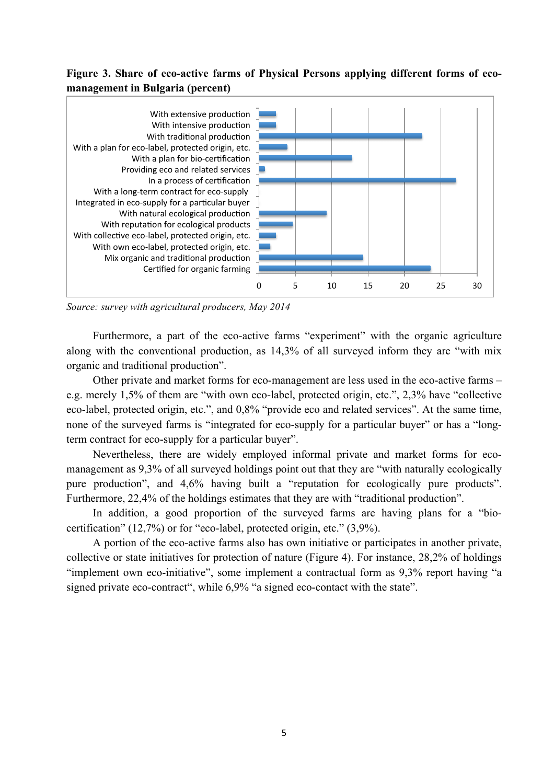# **Figure 3. Share of eco-active farms of Physical Persons applying different forms of ecomanagement in Bulgaria (percent)**



*Source: survey with agricultural producers, May 2014*

Furthermore, a part of the eco-active farms "experiment" with the organic agriculture along with the conventional production, as 14,3% of all surveyed inform they are "with mix organic and traditional production".

Other private and market forms for eco-management are less used in the eco-active farms – e.g. merely 1,5% of them are "with own eco-label, protected origin, etc.", 2,3% have "collective eco-label, protected origin, etc.", and 0,8% "provide eco and related services". At the same time, none of the surveyed farms is "integrated for eco-supply for a particular buyer" or has a "longterm contract for eco-supply for a particular buyer".

Nevertheless, there are widely employed informal private and market forms for ecomanagement as 9,3% of all surveyed holdings point out that they are "with naturally ecologically pure production", and 4,6% having built a "reputation for ecologically pure products". Furthermore, 22,4% of the holdings estimates that they are with "traditional production".

In addition, a good proportion of the surveyed farms are having plans for a "biocertification" (12,7%) or for "eco-label, protected origin, etc." (3,9%).

A portion of the eco-active farms also has own initiative or participates in another private, collective or state initiatives for protection of nature (Figure 4). For instance, 28,2% of holdings "implement own eco-initiative", some implement a contractual form as 9,3% report having "a signed private eco-contract", while 6,9% "a signed eco-contact with the state".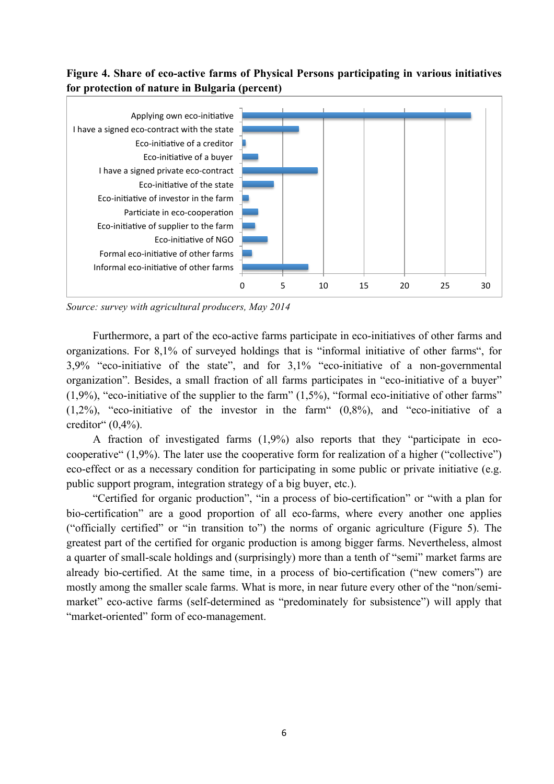# **Figure 4. Share of eco-active farms of Physical Persons participating in various initiatives for protection of nature in Bulgaria (percent)**



*Source: survey with agricultural producers, May 2014*

Furthermore, a part of the eco-active farms participate in eco-initiatives of other farms and organizations. For 8,1% of surveyed holdings that is "informal initiative of other farms", for 3,9% "eco-initiative of the state", and for 3,1% "eco-initiative of a non-governmental organization". Besides, a small fraction of all farms participates in "eco-initiative of a buyer"  $(1,9\%)$ , "eco-initiative of the supplier to the farm"  $(1,5\%)$ , "formal eco-initiative of other farms"  $(1,2\%)$ , "eco-initiative of the investor in the farm"  $(0,8\%)$ , and "eco-initiative of a creditor"  $(0,4%).$ 

A fraction of investigated farms (1,9%) also reports that they "participate in ecocooperative" (1,9%). The later use the cooperative form for realization of a higher ("collective") eco-effect or as a necessary condition for participating in some public or private initiative (e.g. public support program, integration strategy of a big buyer, etc.).

"Certified for organic production", "in a process of bio-certification" or "with a plan for bio-certification" are a good proportion of all eco-farms, where every another one applies ("officially certified" or "in transition to") the norms of organic agriculture (Figure 5). The greatest part of the certified for organic production is among bigger farms. Nevertheless, almost a quarter of small-scale holdings and (surprisingly) more than a tenth of "semi" market farms are already bio-certified. At the same time, in a process of bio-certification ("new comers") are mostly among the smaller scale farms. What is more, in near future every other of the "non/semimarket" eco-active farms (self-determined as "predominately for subsistence") will apply that "market-oriented" form of eco-management.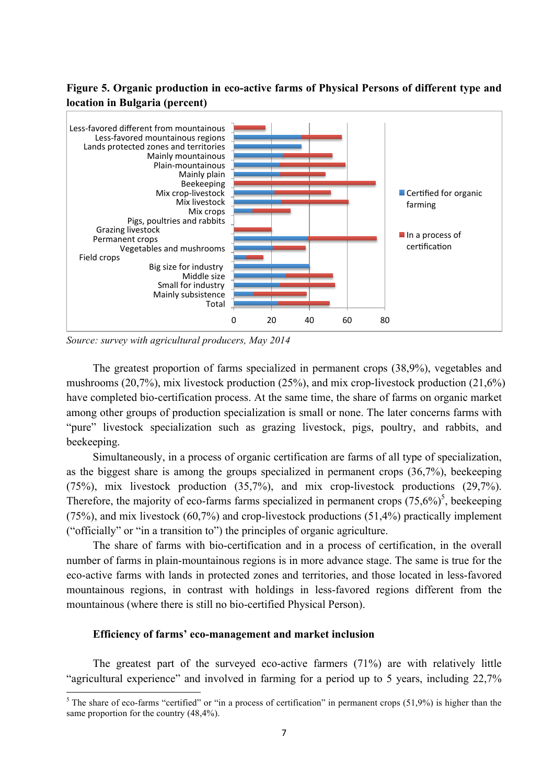# **Figure 5. Organic production in eco-active farms of Physical Persons of different type and location in Bulgaria (percent)**



*Source: survey with agricultural producers, May 2014*

The greatest proportion of farms specialized in permanent crops (38,9%), vegetables and mushrooms (20,7%), mix livestock production (25%), and mix crop-livestock production (21,6%) have completed bio-certification process. At the same time, the share of farms on organic market among other groups of production specialization is small or none. The later concerns farms with "pure" livestock specialization such as grazing livestock, pigs, poultry, and rabbits, and beekeeping.

Simultaneously, in a process of organic certification are farms of all type of specialization, as the biggest share is among the groups specialized in permanent crops (36,7%), beekeeping (75%), mix livestock production (35,7%), and mix crop-livestock productions (29,7%). Therefore, the majority of eco-farms farms specialized in permanent crops  $(75,6\%)^5$ , beekeeping (75%), and mix livestock (60,7%) and crop-livestock productions (51,4%) practically implement ("officially" or "in a transition to") the principles of organic agriculture.

The share of farms with bio-certification and in a process of certification, in the overall number of farms in plain-mountainous regions is in more advance stage. The same is true for the eco-active farms with lands in protected zones and territories, and those located in less-favored mountainous regions, in contrast with holdings in less-favored regions different from the mountainous (where there is still no bio-certified Physical Person).

#### **Efficiency of farms' eco-management and market inclusion**

The greatest part of the surveyed eco-active farmers (71%) are with relatively little "agricultural experience" and involved in farming for a period up to 5 years, including 22,7%

<sup>&</sup>lt;sup>5</sup> The share of eco-farms "certified" or "in a process of certification" in permanent crops  $(51,9%)$  is higher than the same proportion for the country (48,4%).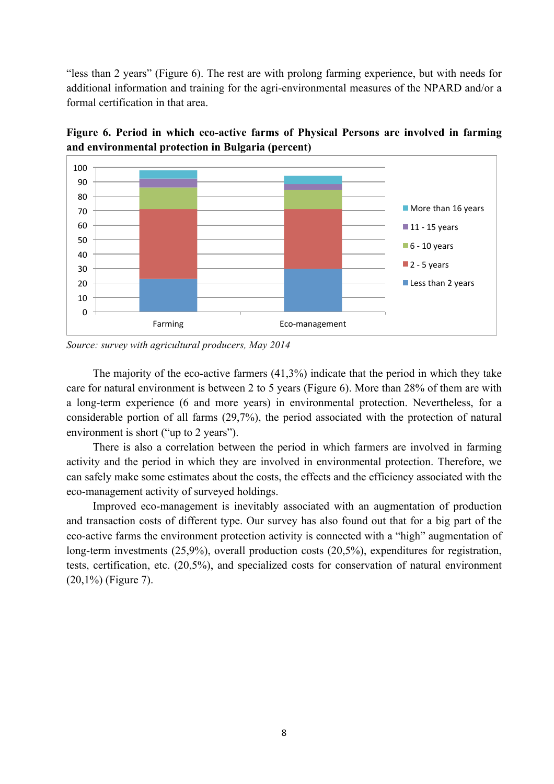"less than 2 years" (Figure 6). The rest are with prolong farming experience, but with needs for additional information and training for the agri-environmental measures of the NPARD and/or a formal certification in that area.



**Figure 6. Period in which eco-active farms of Physical Persons are involved in farming and environmental protection in Bulgaria (percent)** 

The majority of the eco-active farmers (41,3%) indicate that the period in which they take care for natural environment is between 2 to 5 years (Figure 6). More than 28% of them are with a long-term experience (6 and more years) in environmental protection. Nevertheless, for a considerable portion of all farms (29,7%), the period associated with the protection of natural environment is short ("up to 2 years").

There is also a correlation between the period in which farmers are involved in farming activity and the period in which they are involved in environmental protection. Therefore, we can safely make some estimates about the costs, the effects and the efficiency associated with the eco-management activity of surveyed holdings.

Improved eco-management is inevitably associated with an augmentation of production and transaction costs of different type. Our survey has also found out that for a big part of the eco-active farms the environment protection activity is connected with a "high" augmentation of long-term investments (25,9%), overall production costs (20,5%), expenditures for registration, tests, certification, etc. (20,5%), and specialized costs for conservation of natural environment (20,1%) (Figure 7).

*Source: survey with agricultural producers, May 2014*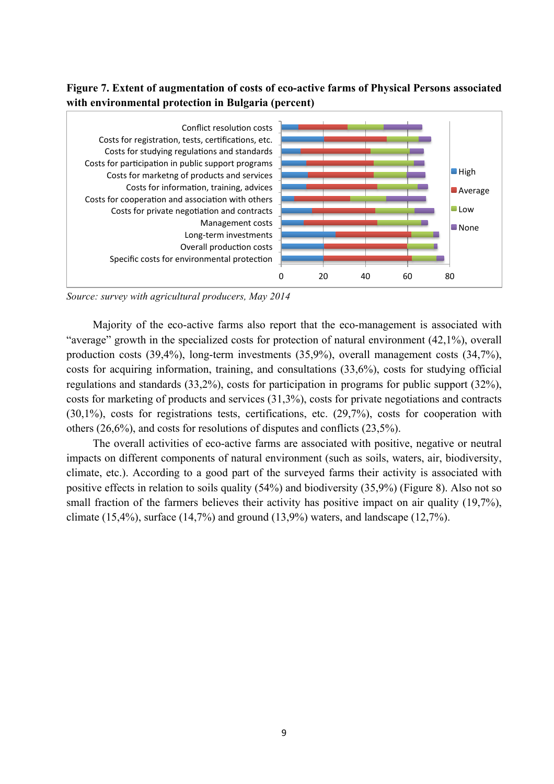# **Figure 7. Extent of augmentation of costs of eco-active farms of Physical Persons associated with environmental protection in Bulgaria (percent)**



*Source: survey with agricultural producers, May 2014*

Majority of the eco-active farms also report that the eco-management is associated with "average" growth in the specialized costs for protection of natural environment (42,1%), overall production costs (39,4%), long-term investments (35,9%), overall management costs (34,7%), costs for acquiring information, training, and consultations (33,6%), costs for studying official regulations and standards (33,2%), costs for participation in programs for public support (32%), costs for marketing of products and services (31,3%), costs for private negotiations and contracts (30,1%), costs for registrations tests, certifications, etc. (29,7%), costs for cooperation with others (26,6%), and costs for resolutions of disputes and conflicts (23,5%).

The overall activities of eco-active farms are associated with positive, negative or neutral impacts on different components of natural environment (such as soils, waters, air, biodiversity, climate, etc.). According to a good part of the surveyed farms their activity is associated with positive effects in relation to soils quality (54%) and biodiversity (35,9%) (Figure 8). Also not so small fraction of the farmers believes their activity has positive impact on air quality (19,7%), climate (15,4%), surface (14,7%) and ground (13,9%) waters, and landscape (12,7%).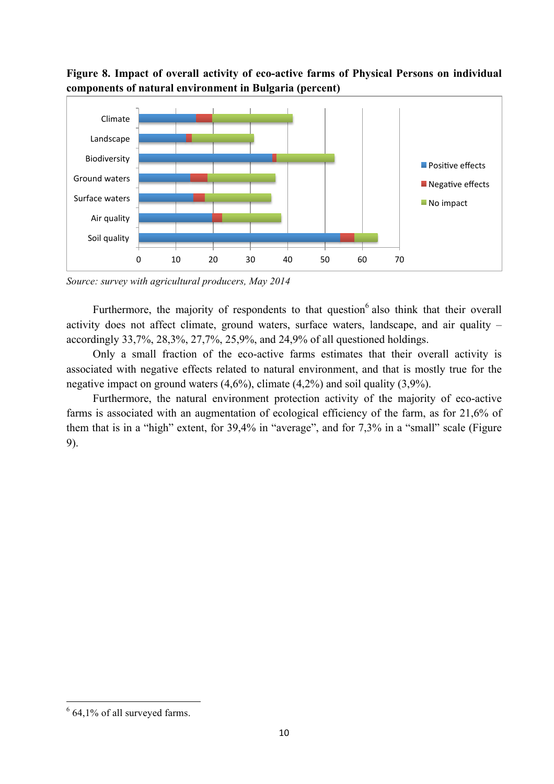



*Source: survey with agricultural producers, May 2014*

Furthermore, the majority of respondents to that question<sup>6</sup> also think that their overall activity does not affect climate, ground waters, surface waters, landscape, and air quality – accordingly 33,7%, 28,3%, 27,7%, 25,9%, and 24,9% of all questioned holdings.

Only a small fraction of the eco-active farms estimates that their overall activity is associated with negative effects related to natural environment, and that is mostly true for the negative impact on ground waters (4,6%), climate (4,2%) and soil quality (3,9%).

Furthermore, the natural environment protection activity of the majority of eco-active farms is associated with an augmentation of ecological efficiency of the farm, as for 21,6% of them that is in a "high" extent, for 39,4% in "average", and for 7,3% in a "small" scale (Figure 9).

<sup>&</sup>lt;u> 1989 - Jan Samuel Barbara, político establecido de la provincia de la provincia de la provincia de la provinci</u>  $6$  64,1% of all surveyed farms.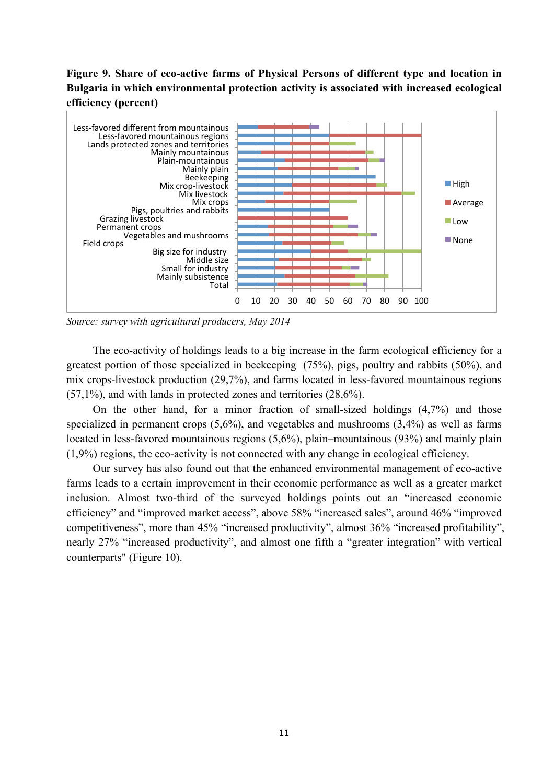# **Figure 9. Share of eco-active farms of Physical Persons of different type and location in Bulgaria in which environmental protection activity is associated with increased ecological efficiency (percent)**



*Source: survey with agricultural producers, May 2014*

The eco-activity of holdings leads to a big increase in the farm ecological efficiency for a greatest portion of those specialized in beekeeping (75%), pigs, poultry and rabbits (50%), and mix crops-livestock production (29,7%), and farms located in less-favored mountainous regions (57,1%), and with lands in protected zones and territories (28,6%).

On the other hand, for a minor fraction of small-sized holdings (4,7%) and those specialized in permanent crops (5,6%), and vegetables and mushrooms (3,4%) as well as farms located in less-favored mountainous regions (5,6%), plain–mountainous (93%) and mainly plain (1,9%) regions, the eco-activity is not connected with any change in ecological efficiency.

Our survey has also found out that the enhanced environmental management of eco-active farms leads to a certain improvement in their economic performance as well as a greater market inclusion. Almost two-third of the surveyed holdings points out an "increased economic efficiency" and "improved market access", above 58% "increased sales", around 46% "improved competitiveness", more than 45% "increased productivity", almost 36% "increased profitability", nearly 27% "increased productivity", and almost one fifth a "greater integration" with vertical counterparts" (Figure 10).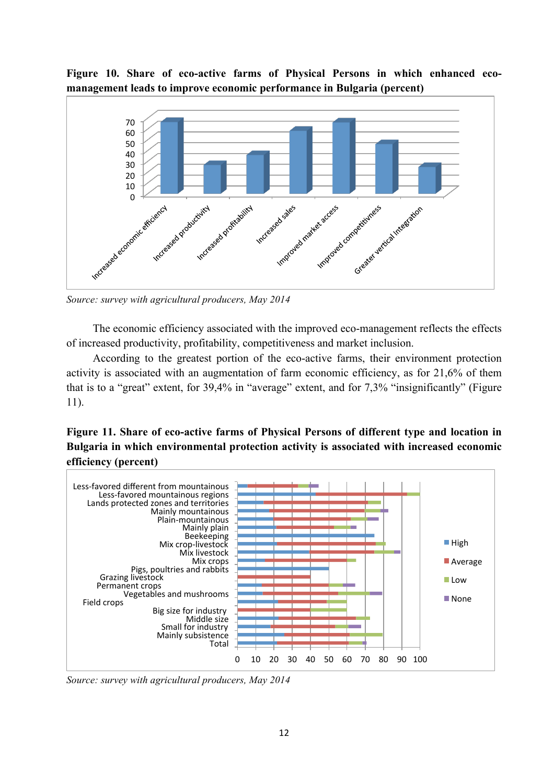# **Figure 10. Share of eco-active farms of Physical Persons in which enhanced ecomanagement leads to improve economic performance in Bulgaria (percent)**



*Source: survey with agricultural producers, May 2014*

The economic efficiency associated with the improved eco-management reflects the effects of increased productivity, profitability, competitiveness and market inclusion.

According to the greatest portion of the eco-active farms, their environment protection activity is associated with an augmentation of farm economic efficiency, as for 21,6% of them that is to a "great" extent, for 39,4% in "average" extent, and for 7,3% "insignificantly" (Figure 11).

**Figure 11. Share of eco-active farms of Physical Persons of different type and location in Bulgaria in which environmental protection activity is associated with increased economic efficiency (percent)**



*Source: survey with agricultural producers, May 2014*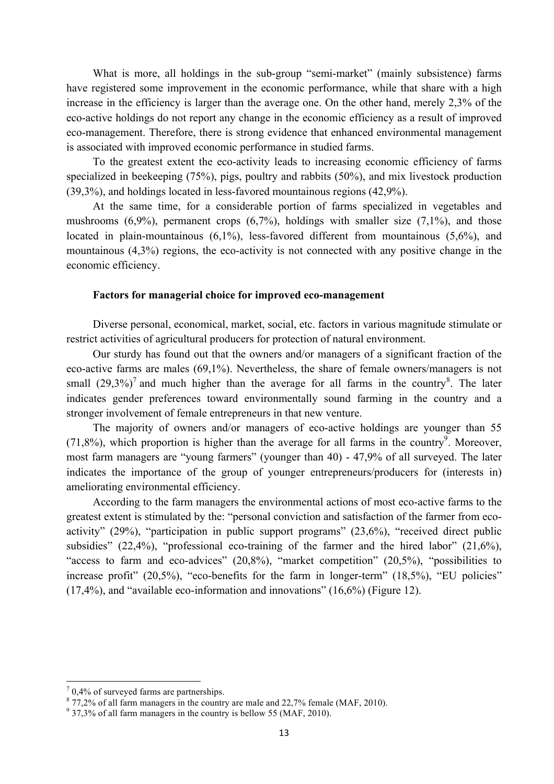What is more, all holdings in the sub-group "semi-market" (mainly subsistence) farms have registered some improvement in the economic performance, while that share with a high increase in the efficiency is larger than the average one. On the other hand, merely 2,3% of the eco-active holdings do not report any change in the economic efficiency as a result of improved eco-management. Therefore, there is strong evidence that enhanced environmental management is associated with improved economic performance in studied farms.

To the greatest extent the eco-activity leads to increasing economic efficiency of farms specialized in beekeeping (75%), pigs, poultry and rabbits (50%), and mix livestock production (39,3%), and holdings located in less-favored mountainous regions (42,9%).

At the same time, for a considerable portion of farms specialized in vegetables and mushrooms  $(6,9\%)$ , permanent crops  $(6,7\%)$ , holdings with smaller size  $(7,1\%)$ , and those located in plain-mountainous (6,1%), less-favored different from mountainous (5,6%), and mountainous (4,3%) regions, the eco-activity is not connected with any positive change in the economic efficiency.

## **Factors for managerial choice for improved eco-management**

Diverse personal, economical, market, social, etc. factors in various magnitude stimulate or restrict activities of agricultural producers for protection of natural environment.

Our sturdy has found out that the owners and/or managers of a significant fraction of the eco-active farms are males (69,1%). Nevertheless, the share of female owners/managers is not small  $(29,3\%)^7$  and much higher than the average for all farms in the country<sup>8</sup>. The later indicates gender preferences toward environmentally sound farming in the country and a stronger involvement of female entrepreneurs in that new venture.

The majority of owners and/or managers of eco-active holdings are younger than 55  $(71,8\%)$ , which proportion is higher than the average for all farms in the country<sup>9</sup>. Moreover, most farm managers are "young farmers" (younger than 40) - 47,9% of all surveyed. The later indicates the importance of the group of younger entrepreneurs/producers for (interests in) ameliorating environmental efficiency.

According to the farm managers the environmental actions of most eco-active farms to the greatest extent is stimulated by the: "personal conviction and satisfaction of the farmer from ecoactivity" (29%), "participation in public support programs" (23,6%), "received direct public subsidies" (22,4%), "professional eco-training of the farmer and the hired labor" (21,6%), "access to farm and eco-advices" (20,8%), "market competition" (20,5%), "possibilities to increase profit" (20,5%), "eco-benefits for the farm in longer-term" (18,5%), "EU policies" (17,4%), and "available eco-information and innovations" (16,6%) (Figure 12).

<u> 1989 - Jan Samuel Barbara, político establecido de la provincia de la provincia de la provincia de la provinci</u>

 $70,4\%$  of surveyed farms are partnerships.

 $8\,77,2\%$  of all farm managers in the country are male and 22,7% female (MAF, 2010).

 $9$  37,3% of all farm managers in the country is bellow 55 (MAF, 2010).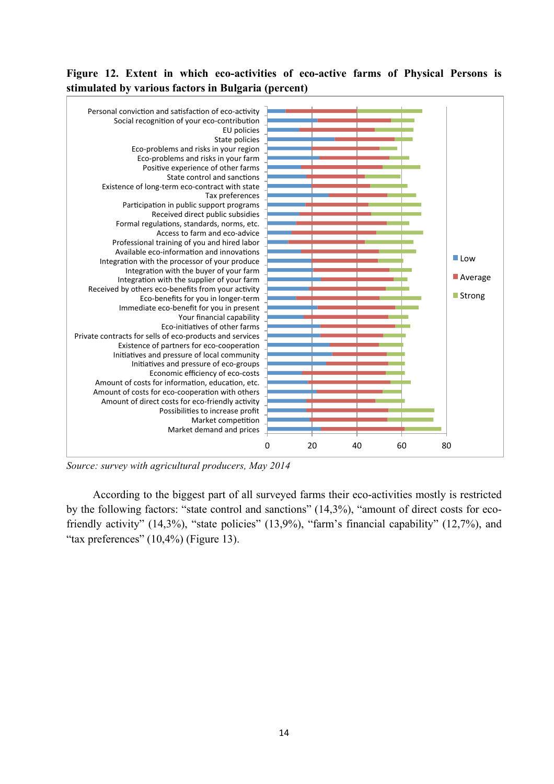# **Figure 12. Extent in which eco-activities of eco-active farms of Physical Persons is stimulated by various factors in Bulgaria (percent)**



*Source: survey with agricultural producers, May 2014*

According to the biggest part of all surveyed farms their eco-activities mostly is restricted by the following factors: "state control and sanctions" (14,3%), "amount of direct costs for ecofriendly activity" (14,3%), "state policies" (13,9%), "farm's financial capability" (12,7%), and "tax preferences"  $(10,4\%)$  (Figure 13).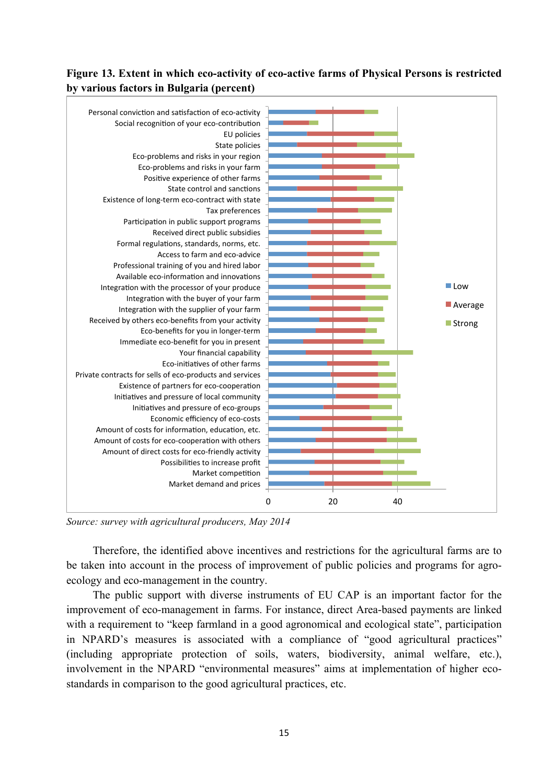# **Figure 13. Extent in which eco-activity of eco-active farms of Physical Persons is restricted by various factors in Bulgaria (percent)**



*Source: survey with agricultural producers, May 2014*

Therefore, the identified above incentives and restrictions for the agricultural farms are to be taken into account in the process of improvement of public policies and programs for agroecology and eco-management in the country.

The public support with diverse instruments of EU CAP is an important factor for the improvement of eco-management in farms. For instance, direct Area-based payments are linked with a requirement to "keep farmland in a good agronomical and ecological state", participation in NPARD's measures is associated with a compliance of "good agricultural practices" (including appropriate protection of soils, waters, biodiversity, animal welfare, etc.), involvement in the NPARD "environmental measures" aims at implementation of higher ecostandards in comparison to the good agricultural practices, etc.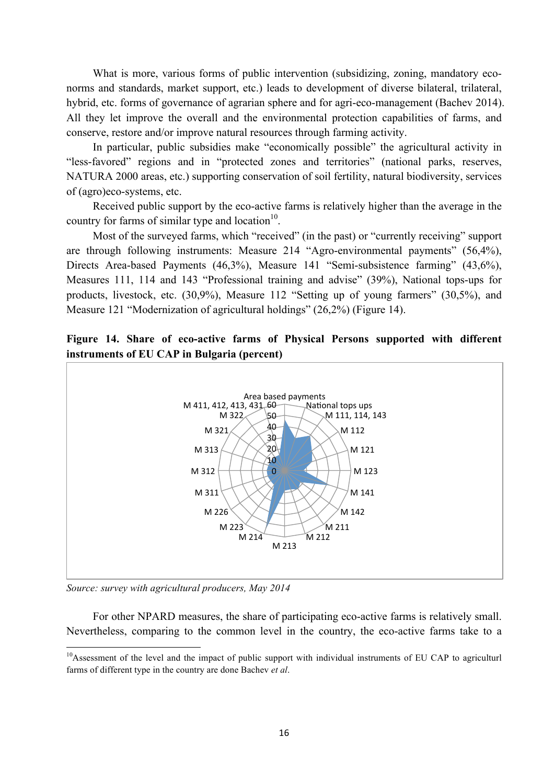What is more, various forms of public intervention (subsidizing, zoning, mandatory econorms and standards, market support, etc.) leads to development of diverse bilateral, trilateral, hybrid, etc. forms of governance of agrarian sphere and for agri-eco-management (Bachev 2014). All they let improve the overall and the environmental protection capabilities of farms, and conserve, restore and/or improve natural resources through farming activity.

In particular, public subsidies make "economically possible" the agricultural activity in "less-favored" regions and in "protected zones and territories" (national parks, reserves, NATURA 2000 areas, etc.) supporting conservation of soil fertility, natural biodiversity, services of (agro)eco-systems, etc.

Received public support by the eco-active farms is relatively higher than the average in the country for farms of similar type and location $10$ .

Most of the surveyed farms, which "received" (in the past) or "currently receiving" support are through following instruments: Measure 214 "Agro-environmental payments" (56,4%), Directs Area-based Payments (46,3%), Measure 141 "Semi-subsistence farming" (43,6%), Measures 111, 114 and 143 "Professional training and advise" (39%), National tops-ups for products, livestock, etc. (30,9%), Measure 112 "Setting up of young farmers" (30,5%), and Measure 121 "Modernization of agricultural holdings" (26,2%) (Figure 14).

# **Figure 14. Share of eco-active farms of Physical Persons supported with different instruments of EU CAP in Bulgaria (percent)**



*Source: survey with agricultural producers, May 2014*

<u> 1989 - Jan Samuel Barbara, político establecido de la provincia de la provincia de la provincia de la provinci</u>

For other NPARD measures, the share of participating eco-active farms is relatively small. Nevertheless, comparing to the common level in the country, the eco-active farms take to a

<sup>&</sup>lt;sup>10</sup>Assessment of the level and the impact of public support with individual instruments of EU CAP to agriculturl farms of different type in the country are done Bachev *et al*.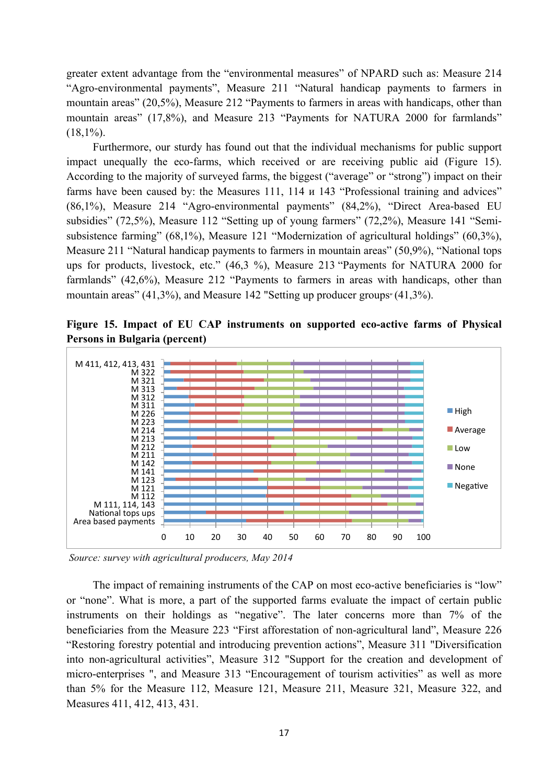greater extent advantage from the "environmental measures" of NPARD such as: Measure 214 "Agro-environmental payments", Measure 211 "Natural handicap payments to farmers in mountain areas" (20,5%), Measure 212 "Payments to farmers in areas with handicaps, other than mountain areas" (17,8%), and Measure 213 "Payments for NATURA 2000 for farmlands"  $(18,1\%)$ .

Furthermore, our sturdy has found out that the individual mechanisms for public support impact unequally the eco-farms, which received or are receiving public aid (Figure 15). According to the majority of surveyed farms, the biggest ("average" or "strong") impact on their farms have been caused by: the Measures 111, 114  $\mu$  143 "Professional training and advices" (86,1%), Measure 214 "Agro-environmental payments" (84,2%), "Direct Area-based EU subsidies" (72,5%), Measure 112 "Setting up of young farmers" (72,2%), Measure 141 "Semisubsistence farming" (68,1%), Measure 121 "Modernization of agricultural holdings" (60,3%), Measure 211 "Natural handicap payments to farmers in mountain areas" (50,9%), "National tops ups for products, livestock, etc." (46,3 %), Measure 213 "Payments for NATURA 2000 for farmlands" (42,6%), Measure 212 "Payments to farmers in areas with handicaps, other than mountain areas"  $(41,3\%)$ , and Measure 142 "Setting up producer groups"  $(41,3\%)$ .

**Figure 15. Impact of EU CAP instruments on supported eco-active farms of Physical Persons in Bulgaria (percent)** 



*Source: survey with agricultural producers, May 2014*

The impact of remaining instruments of the CAP on most eco-active beneficiaries is "low" or "none". What is more, a part of the supported farms evaluate the impact of certain public instruments on their holdings as "negative". The later concerns more than 7% of the beneficiaries from the Measure 223 "First afforestation of non-agricultural land", Measure 226 "Restoring forestry potential and introducing prevention actions", Measure 311 "Diversification into non-agricultural activities", Measure 312 "Support for the creation and development of micro-enterprises ", and Measure 313 "Encouragement of tourism activities" as well as more than 5% for the Measure 112, Measure 121, Measure 211, Measure 321, Measure 322, and Measures 411, 412, 413, 431.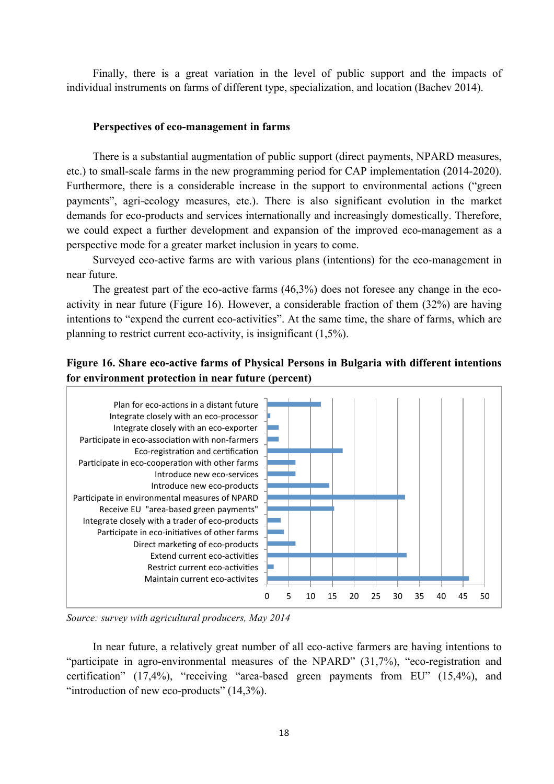Finally, there is a great variation in the level of public support and the impacts of individual instruments on farms of different type, specialization, and location (Bachev 2014).

## **Perspectives of eco-management in farms**

There is a substantial augmentation of public support (direct payments, NPARD measures, etc.) to small-scale farms in the new programming period for CAP implementation (2014-2020). Furthermore, there is a considerable increase in the support to environmental actions ("green payments", agri-ecology measures, etc.). There is also significant evolution in the market demands for eco-products and services internationally and increasingly domestically. Therefore, we could expect a further development and expansion of the improved eco-management as a perspective mode for a greater market inclusion in years to come.

Surveyed eco-active farms are with various plans (intentions) for the eco-management in near future.

The greatest part of the eco-active farms (46,3%) does not foresee any change in the ecoactivity in near future (Figure 16). However, a considerable fraction of them (32%) are having intentions to "expend the current eco-activities". At the same time, the share of farms, which are planning to restrict current eco-activity, is insignificant (1,5%).

# **Figure 16. Share eco-active farms of Physical Persons in Bulgaria with different intentions for environment protection in near future (percent)**



*Source: survey with agricultural producers, May 2014*

In near future, a relatively great number of all eco-active farmers are having intentions to "participate in agro-environmental measures of the NPARD" (31,7%), "eco-registration and certification" (17,4%), "receiving "area-based green payments from EU" (15,4%), and "introduction of new eco-products"  $(14,3\%)$ .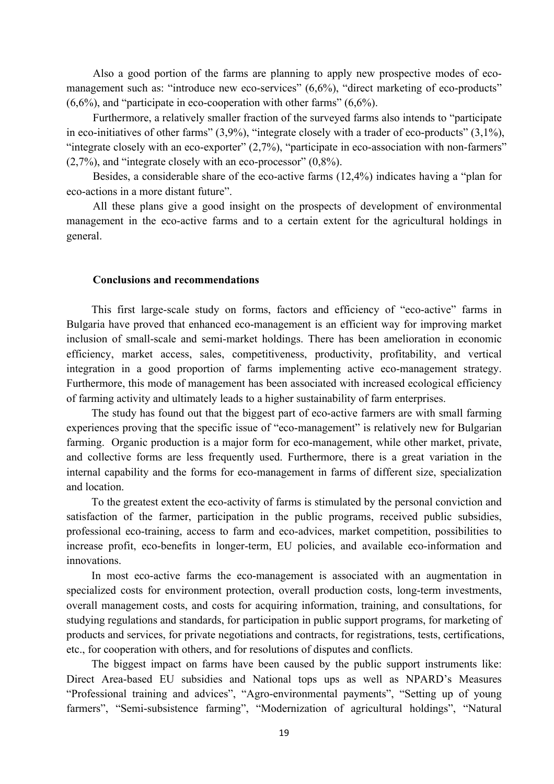Also a good portion of the farms are planning to apply new prospective modes of ecomanagement such as: "introduce new eco-services" (6,6%), "direct marketing of eco-products"  $(6,6\%)$ , and "participate in eco-cooperation with other farms"  $(6,6\%)$ .

Furthermore, a relatively smaller fraction of the surveyed farms also intends to "participate in eco-initiatives of other farms" (3,9%), "integrate closely with a trader of eco-products" (3,1%), "integrate closely with an eco-exporter" (2,7%), "participate in eco-association with non-farmers" (2,7%), and "integrate closely with an eco-processor" (0,8%).

Besides, a considerable share of the eco-active farms (12,4%) indicates having a "plan for eco-actions in a more distant future".

All these plans give a good insight on the prospects of development of environmental management in the eco-active farms and to a certain extent for the agricultural holdings in general.

### **Conclusions and recommendations**

This first large-scale study on forms, factors and efficiency of "eco-active" farms in Bulgaria have proved that enhanced eco-management is an efficient way for improving market inclusion of small-scale and semi-market holdings. There has been amelioration in economic efficiency, market access, sales, competitiveness, productivity, profitability, and vertical integration in a good proportion of farms implementing active eco-management strategy. Furthermore, this mode of management has been associated with increased ecological efficiency of farming activity and ultimately leads to a higher sustainability of farm enterprises.

The study has found out that the biggest part of eco-active farmers are with small farming experiences proving that the specific issue of "eco-management" is relatively new for Bulgarian farming. Organic production is a major form for eco-management, while other market, private, and collective forms are less frequently used. Furthermore, there is a great variation in the internal capability and the forms for eco-management in farms of different size, specialization and location.

To the greatest extent the eco-activity of farms is stimulated by the personal conviction and satisfaction of the farmer, participation in the public programs, received public subsidies, professional eco-training, access to farm and eco-advices, market competition, possibilities to increase profit, eco-benefits in longer-term, EU policies, and available eco-information and innovations.

In most eco-active farms the eco-management is associated with an augmentation in specialized costs for environment protection, overall production costs, long-term investments, overall management costs, and costs for acquiring information, training, and consultations, for studying regulations and standards, for participation in public support programs, for marketing of products and services, for private negotiations and contracts, for registrations, tests, certifications, etc., for cooperation with others, and for resolutions of disputes and conflicts.

The biggest impact on farms have been caused by the public support instruments like: Direct Area-based EU subsidies and National tops ups as well as NPARD's Measures "Professional training and advices", "Agro-environmental payments", "Setting up of young farmers", "Semi-subsistence farming", "Modernization of agricultural holdings", "Natural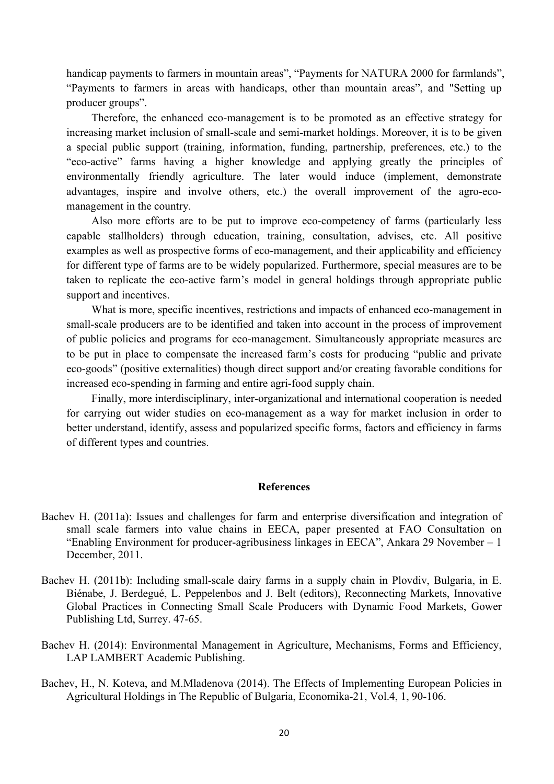handicap payments to farmers in mountain areas", "Payments for NATURA 2000 for farmlands", "Payments to farmers in areas with handicaps, other than mountain areas", and "Setting up producer groups".

Therefore, the enhanced eco-management is to be promoted as an effective strategy for increasing market inclusion of small-scale and semi-market holdings. Moreover, it is to be given a special public support (training, information, funding, partnership, preferences, etc.) to the "eco-active" farms having a higher knowledge and applying greatly the principles of environmentally friendly agriculture. The later would induce (implement, demonstrate advantages, inspire and involve others, etc.) the overall improvement of the agro-ecomanagement in the country.

Also more efforts are to be put to improve eco-competency of farms (particularly less capable stallholders) through education, training, consultation, advises, etc. All positive examples as well as prospective forms of eco-management, and their applicability and efficiency for different type of farms are to be widely popularized. Furthermore, special measures are to be taken to replicate the eco-active farm's model in general holdings through appropriate public support and incentives.

What is more, specific incentives, restrictions and impacts of enhanced eco-management in small-scale producers are to be identified and taken into account in the process of improvement of public policies and programs for eco-management. Simultaneously appropriate measures are to be put in place to compensate the increased farm's costs for producing "public and private eco-goods" (positive externalities) though direct support and/or creating favorable conditions for increased eco-spending in farming and entire agri-food supply chain.

Finally, more interdisciplinary, inter-organizational and international cooperation is needed for carrying out wider studies on eco-management as a way for market inclusion in order to better understand, identify, assess and popularized specific forms, factors and efficiency in farms of different types and countries.

## **References**

- Bachev H. (2011a): Issues and challenges for farm and enterprise diversification and integration of small scale farmers into value chains in EECA, paper presented at FAO Consultation on "Enabling Environment for producer-agribusiness linkages in EECA", Ankara 29 November – 1 December, 2011.
- Bachev H. (2011b): Including small-scale dairy farms in a supply chain in Plovdiv, Bulgaria, in E. Biénabe, J. Berdegué, L. Peppelenbos and J. Belt (editors), Reconnecting Markets, Innovative Global Practices in Connecting Small Scale Producers with Dynamic Food Markets, Gower Publishing Ltd, Surrey. 47-65.
- Bachev H. (2014): Environmental Management in Agriculture, Mechanisms, Forms and Efficiency, LAP LAMBERT Academic Publishing.
- Bachev, H., N. Koteva, and M.Mladenova (2014). The Effects of Implementing European Policies in Agricultural Holdings in The Republic of Bulgaria, Economika-21, Vol.4, 1, 90-106.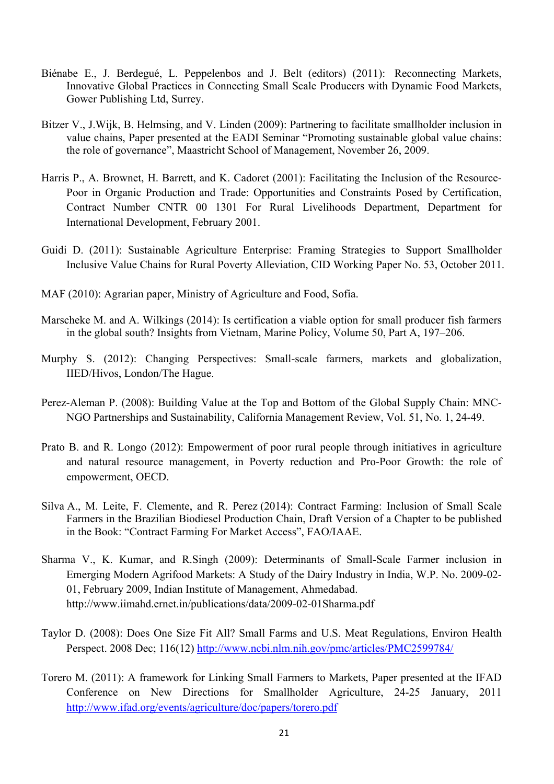- Biénabe E., J. Berdegué, L. Peppelenbos and J. Belt (editors) (2011): Reconnecting Markets, Innovative Global Practices in Connecting Small Scale Producers with Dynamic Food Markets, Gower Publishing Ltd, Surrey.
- Bitzer V., J.Wijk, B. Helmsing, and V. Linden (2009): Partnering to facilitate smallholder inclusion in value chains, Paper presented at the EADI Seminar "Promoting sustainable global value chains: the role of governance", Maastricht School of Management, November 26, 2009.
- Harris P., A. Brownet, H. Barrett, and K. Cadoret (2001): Facilitating the Inclusion of the Resource-Poor in Organic Production and Trade: Opportunities and Constraints Posed by Certification, Contract Number CNTR 00 1301 For Rural Livelihoods Department, Department for International Development, February 2001.
- Guidi D. (2011): Sustainable Agriculture Enterprise: Framing Strategies to Support Smallholder Inclusive Value Chains for Rural Poverty Alleviation, CID Working Paper No. 53, October 2011.
- MAF (2010): Agrarian paper, Ministry of Agriculture and Food, Sofia.
- Marscheke M. and A. Wilkings (2014): Is certification a viable option for small producer fish farmers in the global south? Insights from Vietnam, Marine Policy, Volume 50, Part A, 197–206.
- Murphy S. (2012): Changing Perspectives: Small-scale farmers, markets and globalization, IIED/Hivos, London/The Hague.
- Perez-Aleman P. (2008): Building Value at the Top and Bottom of the Global Supply Chain: MNC-NGO Partnerships and Sustainability, California Management Review, Vol. 51, No. 1, 24-49.
- Prato B. and R. Longo (2012): Empowerment of poor rural people through initiatives in agriculture and natural resource management, in Poverty reduction and Pro-Poor Growth: the role of empowerment, OECD.
- Silva A., M. Leite, F. Clemente, and R. Perez (2014): Contract Farming: Inclusion of Small Scale Farmers in the Brazilian Biodiesel Production Chain, Draft Version of a Chapter to be published in the Book: "Contract Farming For Market Access", FAO/IAAE.
- Sharma V., K. Kumar, and R.Singh (2009): Determinants of Small-Scale Farmer inclusion in Emerging Modern Agrifood Markets: A Study of the Dairy Industry in India, W.P. No. 2009-02- 01, February 2009, Indian Institute of Management, Ahmedabad. http://www.iimahd.ernet.in/publications/data/2009-02-01Sharma.pdf
- Taylor D. (2008): Does One Size Fit All? Small Farms and U.S. Meat Regulations, Environ Health Perspect. 2008 Dec; 116(12) http://www.ncbi.nlm.nih.gov/pmc/articles/PMC2599784/
- Torero M. (2011): A framework for Linking Small Farmers to Markets, Paper presented at the IFAD Conference on New Directions for Smallholder Agriculture, 24-25 January, 2011 http://www.ifad.org/events/agriculture/doc/papers/torero.pdf